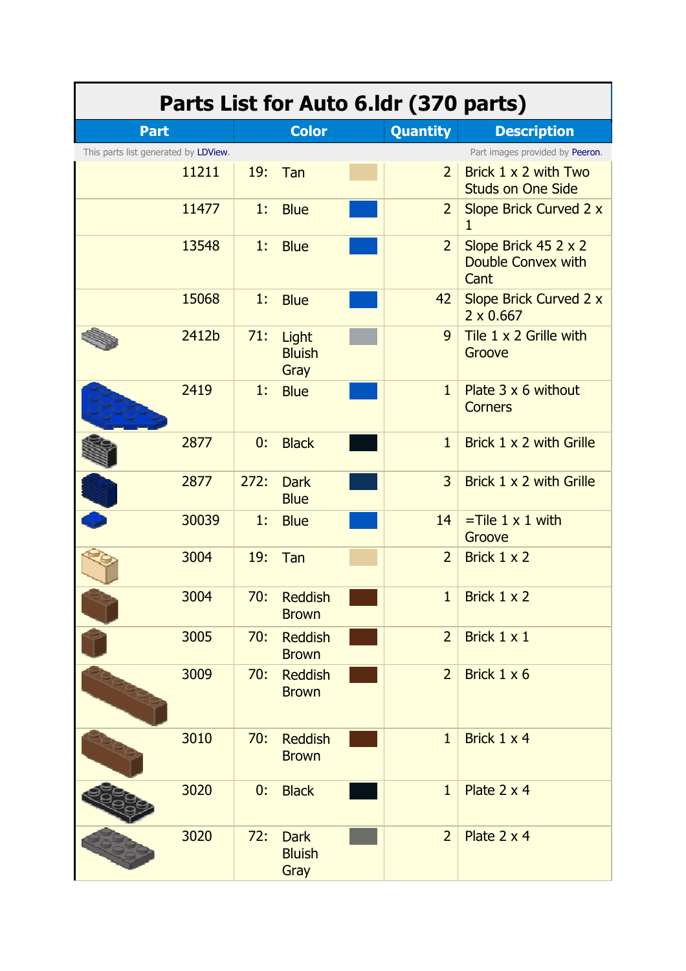| Parts List for Auto 6.Idr (370 parts) |       |      |                                      |  |                 |                                                         |  |
|---------------------------------------|-------|------|--------------------------------------|--|-----------------|---------------------------------------------------------|--|
| <b>Part</b>                           |       |      | <b>Color</b>                         |  | <b>Quantity</b> | <b>Description</b>                                      |  |
| This parts list generated by LDView.  |       |      |                                      |  |                 | Part images provided by Peeron.                         |  |
|                                       | 11211 | 19:  | Tan                                  |  | $\overline{2}$  | Brick $1 \times 2$ with Two<br><b>Studs on One Side</b> |  |
|                                       | 11477 | 1:   | <b>Blue</b>                          |  | $\overline{2}$  | Slope Brick Curved 2 x<br>1                             |  |
|                                       | 13548 | 1:   | <b>Blue</b>                          |  | $\overline{2}$  | Slope Brick 45 2 x 2<br>Double Convex with<br>Cant      |  |
|                                       | 15068 | 1:   | <b>Blue</b>                          |  | 42              | Slope Brick Curved 2 x<br>$2 \times 0.667$              |  |
|                                       | 2412b | 71:  | Light<br><b>Bluish</b><br>Gray       |  | 9               | Tile $1 \times 2$ Grille with<br>Groove                 |  |
|                                       | 2419  | 1:   | <b>Blue</b>                          |  | $\mathbf{1}$    | Plate $3 \times 6$ without<br><b>Corners</b>            |  |
|                                       | 2877  | 0:   | <b>Black</b>                         |  | $\mathbf{1}$    | Brick 1 x 2 with Grille                                 |  |
|                                       | 2877  | 272: | <b>Dark</b><br><b>Blue</b>           |  | $\overline{3}$  | Brick 1 x 2 with Grille                                 |  |
|                                       | 30039 | 1:   | <b>Blue</b>                          |  | 14              | $=$ Tile 1 x 1 with<br>Groove                           |  |
|                                       | 3004  | 19:  | Tan                                  |  | $\overline{2}$  | Brick 1 x 2                                             |  |
|                                       | 3004  | 70:  | <b>Reddish</b><br><b>Brown</b>       |  | $\mathbf{1}$    | Brick $1 \times 2$                                      |  |
|                                       | 3005  | 70:  | <b>Reddish</b><br><b>Brown</b>       |  | $\overline{2}$  | Brick 1 x 1                                             |  |
|                                       | 3009  | 70:  | <b>Reddish</b><br><b>Brown</b>       |  | $\overline{2}$  | Brick 1 x 6                                             |  |
|                                       | 3010  | 70:  | <b>Reddish</b><br><b>Brown</b>       |  | $\mathbf{1}$    | Brick $1 \times 4$                                      |  |
|                                       | 3020  | 0:   | <b>Black</b>                         |  | $\mathbf{1}$    | Plate 2 x 4                                             |  |
|                                       | 3020  | 72:  | <b>Dark</b><br><b>Bluish</b><br>Gray |  | $\overline{2}$  | Plate $2 \times 4$                                      |  |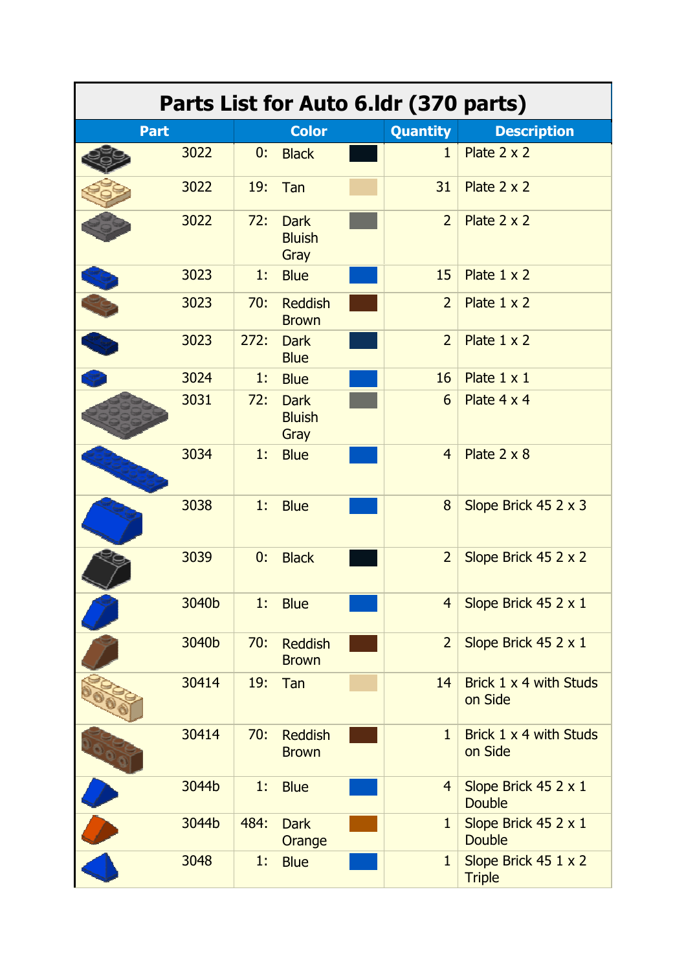| Parts List for Auto 6.Idr (370 parts) |       |      |                                      |  |                 |                                         |  |
|---------------------------------------|-------|------|--------------------------------------|--|-----------------|-----------------------------------------|--|
| <b>Part</b>                           |       |      | <b>Color</b>                         |  | <b>Quantity</b> | <b>Description</b>                      |  |
|                                       | 3022  | 0:   | <b>Black</b>                         |  | $\mathbf{1}$    | Plate $2 \times 2$                      |  |
|                                       | 3022  | 19:  | Tan                                  |  | 31              | Plate 2 x 2                             |  |
|                                       | 3022  | 72:  | <b>Dark</b><br><b>Bluish</b><br>Gray |  | $\overline{2}$  | Plate $2 \times 2$                      |  |
|                                       | 3023  | 1:   | <b>Blue</b>                          |  | 15              | Plate $1 \times 2$                      |  |
|                                       | 3023  | 70:  | <b>Reddish</b><br><b>Brown</b>       |  | $\overline{2}$  | Plate 1 x 2                             |  |
|                                       | 3023  | 272: | <b>Dark</b><br><b>Blue</b>           |  | $\overline{2}$  | Plate 1 x 2                             |  |
|                                       | 3024  | 1:   | <b>Blue</b>                          |  | 16              | Plate $1 \times 1$                      |  |
|                                       | 3031  | 72:  | <b>Dark</b><br><b>Bluish</b><br>Gray |  | 6               | Plate 4 x 4                             |  |
|                                       | 3034  | 1:   | <b>Blue</b>                          |  | $\overline{4}$  | Plate $2 \times 8$                      |  |
|                                       | 3038  | 1:   | <b>Blue</b>                          |  | 8               | Slope Brick 45 2 x 3                    |  |
|                                       | 3039  | 0:   | <b>Black</b>                         |  | $\overline{2}$  | Slope Brick 45 2 x 2                    |  |
|                                       | 3040b | 1:   | <b>Blue</b>                          |  | $\overline{4}$  | Slope Brick 45 2 x 1                    |  |
|                                       | 3040b | 70:  | <b>Reddish</b><br><b>Brown</b>       |  | $\overline{2}$  | Slope Brick 45 2 x 1                    |  |
|                                       | 30414 | 19:  | Tan                                  |  | 14              | Brick 1 x 4 with Studs<br>on Side       |  |
|                                       | 30414 | 70:  | <b>Reddish</b><br><b>Brown</b>       |  | $\mathbf{1}$    | Brick 1 x 4 with Studs<br>on Side       |  |
|                                       | 3044b | 1:   | <b>Blue</b>                          |  | $\overline{4}$  | Slope Brick $45$ 2 x 1<br><b>Double</b> |  |
|                                       | 3044b | 484: | <b>Dark</b><br>Orange                |  | $\mathbf{1}$    | Slope Brick 45 2 x 1<br><b>Double</b>   |  |
|                                       | 3048  | 1:   | <b>Blue</b>                          |  | $\mathbf{1}$    | Slope Brick 45 1 x 2<br><b>Triple</b>   |  |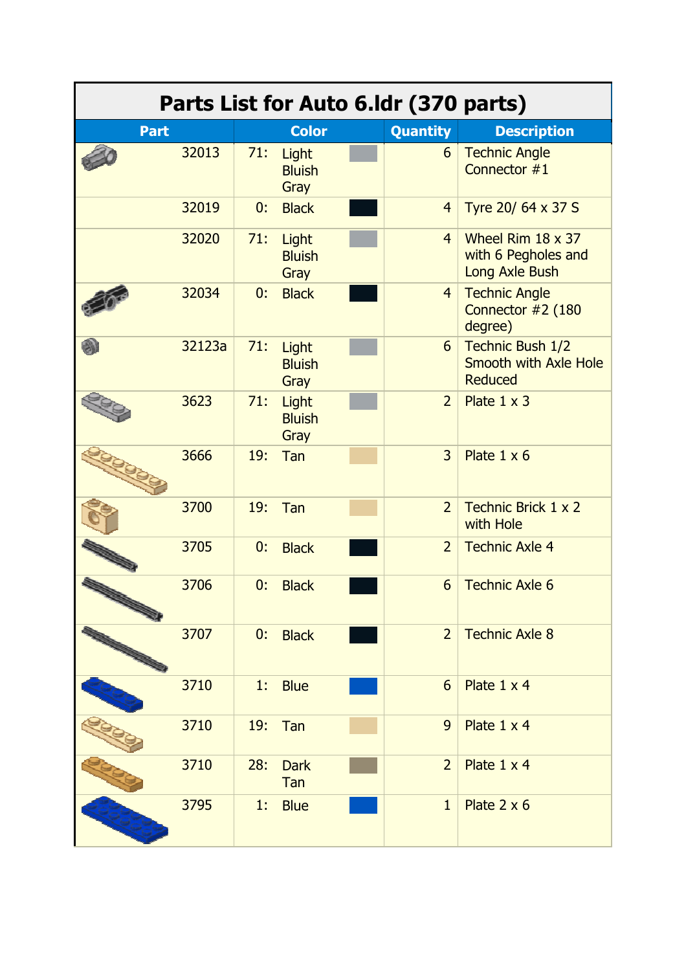| Parts List for Auto 6.1dr (370 parts) |        |     |                                |  |                 |                                                                   |  |
|---------------------------------------|--------|-----|--------------------------------|--|-----------------|-------------------------------------------------------------------|--|
| <b>Part</b>                           |        |     | <b>Color</b>                   |  | <b>Quantity</b> | <b>Description</b>                                                |  |
|                                       | 32013  | 71: | Light<br><b>Bluish</b><br>Gray |  | 6               | <b>Technic Angle</b><br>Connector #1                              |  |
|                                       | 32019  | 0:  | <b>Black</b>                   |  | $\overline{4}$  | Tyre 20/ 64 x 37 S                                                |  |
|                                       | 32020  | 71: | Light<br><b>Bluish</b><br>Gray |  | $\overline{4}$  | Wheel Rim $18 \times 37$<br>with 6 Pegholes and<br>Long Axle Bush |  |
|                                       | 32034  | 0:  | <b>Black</b>                   |  | $\overline{4}$  | <b>Technic Angle</b><br>Connector #2 (180<br>degree)              |  |
|                                       | 32123a | 71: | Light<br><b>Bluish</b><br>Gray |  | 6               | Technic Bush 1/2<br>Smooth with Axle Hole<br>Reduced              |  |
|                                       | 3623   | 71: | Light<br><b>Bluish</b><br>Gray |  | $\overline{2}$  | Plate $1 \times 3$                                                |  |
|                                       | 3666   | 19: | Tan                            |  | 3               | Plate $1 \times 6$                                                |  |
|                                       | 3700   | 19: | Tan                            |  | $\overline{2}$  | Technic Brick 1 x 2<br>with Hole                                  |  |
|                                       | 3705   | 0:  | <b>Black</b>                   |  | $\overline{2}$  | <b>Technic Axle 4</b>                                             |  |
|                                       | 3706   | 0:  | <b>Black</b>                   |  | 6               | <b>Technic Axle 6</b>                                             |  |
|                                       | 3707   | 0:  | <b>Black</b>                   |  | $\overline{2}$  | <b>Technic Axle 8</b>                                             |  |
|                                       | 3710   | 1:  | <b>Blue</b>                    |  | 6               | Plate $1 \times 4$                                                |  |
|                                       | 3710   | 19: | Tan                            |  | 9               | Plate $1 \times 4$                                                |  |
|                                       | 3710   | 28: | <b>Dark</b><br>Tan             |  | $\overline{2}$  | Plate 1 x 4                                                       |  |
|                                       | 3795   | 1:  | <b>Blue</b>                    |  | $\mathbf{1}$    | Plate $2 \times 6$                                                |  |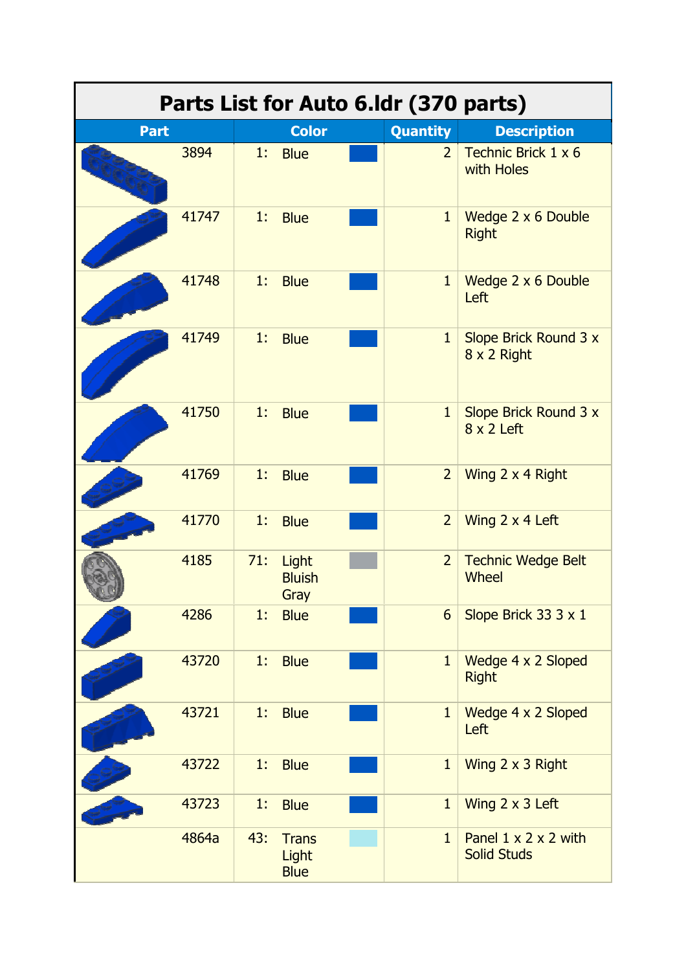| Parts List for Auto 6.1dr (370 parts) |       |     |                                      |  |                 |                                                        |  |
|---------------------------------------|-------|-----|--------------------------------------|--|-----------------|--------------------------------------------------------|--|
| <b>Part</b>                           |       |     | <b>Color</b>                         |  | <b>Quantity</b> | <b>Description</b>                                     |  |
|                                       | 3894  | 1.  | <b>Blue</b>                          |  | $\overline{2}$  | Technic Brick 1 x 6<br>with Holes                      |  |
|                                       | 41747 | 1:  | <b>Blue</b>                          |  | $\mathbf{1}$    | Wedge 2 x 6 Double<br><b>Right</b>                     |  |
|                                       | 41748 | 1:  | <b>Blue</b>                          |  | $\mathbf{1}$    | Wedge 2 x 6 Double<br>Left                             |  |
|                                       | 41749 | 1:  | <b>Blue</b>                          |  | $\mathbf{1}$    | Slope Brick Round 3 x<br>8 x 2 Right                   |  |
|                                       | 41750 | 1:  | <b>Blue</b>                          |  | $\mathbf{1}$    | Slope Brick Round 3 x<br>$8 \times 2$ Left             |  |
|                                       | 41769 | 1:  | <b>Blue</b>                          |  | $\overline{2}$  | Wing 2 x 4 Right                                       |  |
|                                       | 41770 | 1.  | <b>Blue</b>                          |  | $\overline{2}$  | Wing 2 x 4 Left                                        |  |
|                                       | 4185  | 71: | Light<br><b>Bluish</b><br>Gray       |  | $\overline{2}$  | <b>Technic Wedge Belt</b><br><b>Wheel</b>              |  |
|                                       | 4286  | 1:  | <b>Blue</b>                          |  | $6\overline{6}$ | Slope Brick 33 3 x 1                                   |  |
|                                       | 43720 | 1.  | <b>Blue</b>                          |  | $\mathbf{1}$    | Wedge 4 x 2 Sloped<br><b>Right</b>                     |  |
|                                       | 43721 | 1:  | <b>Blue</b>                          |  | $\mathbf{1}$    | Wedge 4 x 2 Sloped<br>Left                             |  |
|                                       | 43722 | 1:  | <b>Blue</b>                          |  | $\mathbf{1}$    | Wing 2 x 3 Right                                       |  |
|                                       | 43723 | 1:  | <b>Blue</b>                          |  | $\mathbf{1}$    | Wing 2 x 3 Left                                        |  |
|                                       | 4864a | 43: | <b>Trans</b><br>Light<br><b>Blue</b> |  | $\mathbf{1}$    | Panel $1 \times 2 \times 2$ with<br><b>Solid Studs</b> |  |